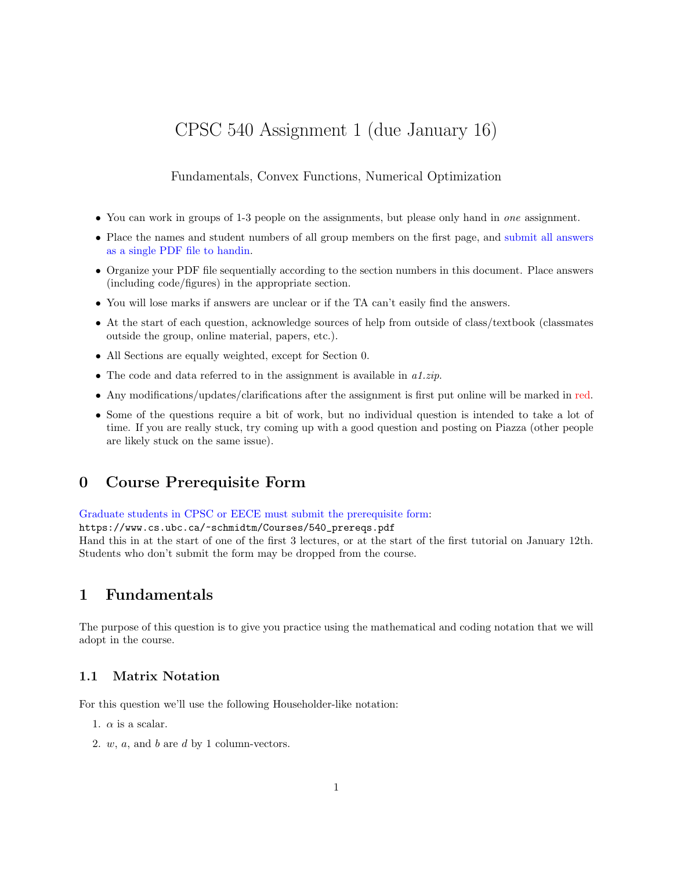# CPSC 540 Assignment 1 (due January 16)

Fundamentals, Convex Functions, Numerical Optimization

- You can work in groups of 1-3 people on the assignments, but please only hand in one assignment.
- Place the names and student numbers of all group members on the first page, and submit all answers as a single PDF file to handin.
- Organize your PDF file sequentially according to the section numbers in this document. Place answers (including code/figures) in the appropriate section.
- You will lose marks if answers are unclear or if the TA can't easily find the answers.
- At the start of each question, acknowledge sources of help from outside of class/textbook (classmates outside the group, online material, papers, etc.).
- All Sections are equally weighted, except for Section 0.
- The code and data referred to in the assignment is available in  $a1.\dot{zip}$ .
- Any modifications/updates/clarifications after the assignment is first put online will be marked in red.
- Some of the questions require a bit of work, but no individual question is intended to take a lot of time. If you are really stuck, try coming up with a good question and posting on Piazza (other people are likely stuck on the same issue).

### 0 Course Prerequisite Form

Graduate students in CPSC or EECE must submit the prerequisite form:

https://www.cs.ubc.ca/~schmidtm/Courses/540\_prereqs.pdf

Hand this in at the start of one of the first 3 lectures, or at the start of the first tutorial on January 12th. Students who don't submit the form may be dropped from the course.

### 1 Fundamentals

The purpose of this question is to give you practice using the mathematical and coding notation that we will adopt in the course.

### 1.1 Matrix Notation

For this question we'll use the following Householder-like notation:

- 1.  $\alpha$  is a scalar.
- 2.  $w$ ,  $a$ , and  $b$  are  $d$  by 1 column-vectors.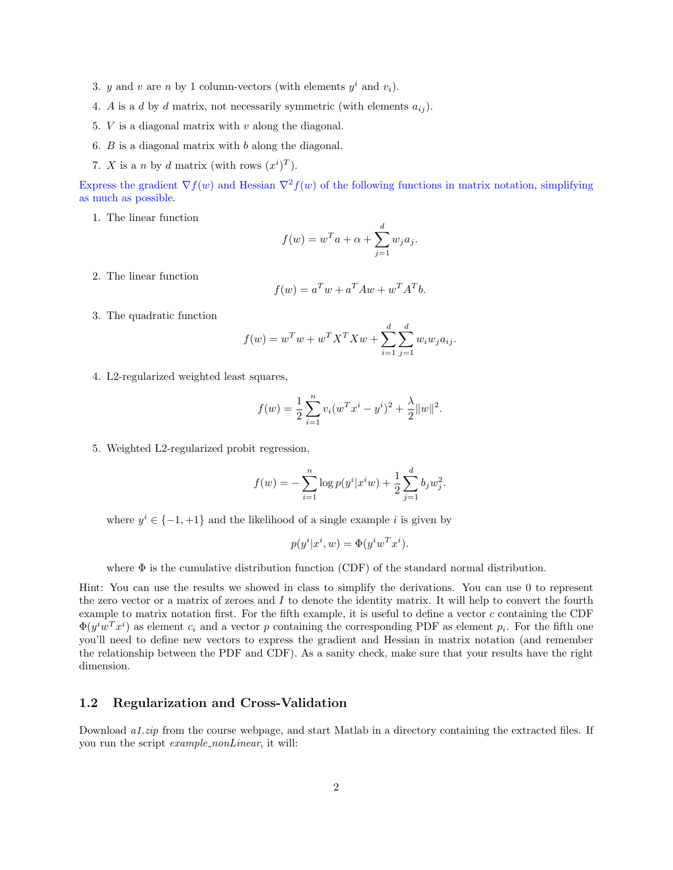- 3. y and v are n by 1 column-vectors (with elements  $y^i$  and  $v_i$ ).
- 4. A is a d by d matrix, not necessarily symmetric (with elements  $a_{ij}$ ).
- 5.  $V$  is a diagonal matrix with  $v$  along the diagonal.
- 6.  $B$  is a diagonal matrix with  $b$  along the diagonal.
- 7. X is a n by d matrix (with rows  $(x^{i})^{T}$ ).

Express the gradient  $\nabla f(w)$  and Hessian  $\nabla^2 f(w)$  of the following functions in matrix notation, simplifying as much as possible.

1. The linear function

$$
f(w) = w^T a + \alpha + \sum_{j=1}^d w_j a_j.
$$

2. The linear function

$$
f(w) = a^T w + a^T A w + w^T A^T b.
$$

3. The quadratic function

$$
f(w) = w^T w + w^T X^T X w + \sum_{i=1}^d \sum_{j=1}^d w_i w_j a_{ij}.
$$

4. L2-regularized weighted least squares,

$$
f(w) = \frac{1}{2} \sum_{i=1}^{n} v_i (w^T x^i - y^i)^2 + \frac{\lambda}{2} ||w||^2.
$$

5. Weighted L2-regularized probit regression,

$$
f(w) = -\sum_{i=1}^{n} \log p(y^{i} | x^{i} w) + \frac{1}{2} \sum_{j=1}^{d} b_{j} w_{j}^{2}.
$$

where  $y^{i} \in \{-1, +1\}$  and the likelihood of a single example i is given by

$$
p(y^i|x^i, w) = \Phi(y^iw^Tx^i).
$$

where  $\Phi$  is the cumulative distribution function (CDF) of the standard normal distribution.

Hint: You can use the results we showed in class to simplify the derivations. You can use 0 to represent the zero vector or a matrix of zeroes and I to denote the identity matrix. It will help to convert the fourth example to matrix notation first. For the fifth example, it is useful to define a vector  $c$  containing the CDF  $\Phi(y^iw^Tx^i)$  as element  $c_i$  and a vector p containing the corresponding PDF as element  $p_i$ . For the fifth one you'll need to define new vectors to express the gradient and Hessian in matrix notation (and remember the relationship between the PDF and CDF). As a sanity check, make sure that your results have the right dimension.

#### 1.2 Regularization and Cross-Validation

Download a1.zip from the course webpage, and start Matlab in a directory containing the extracted files. If you run the script *example\_nonLinear*, it will: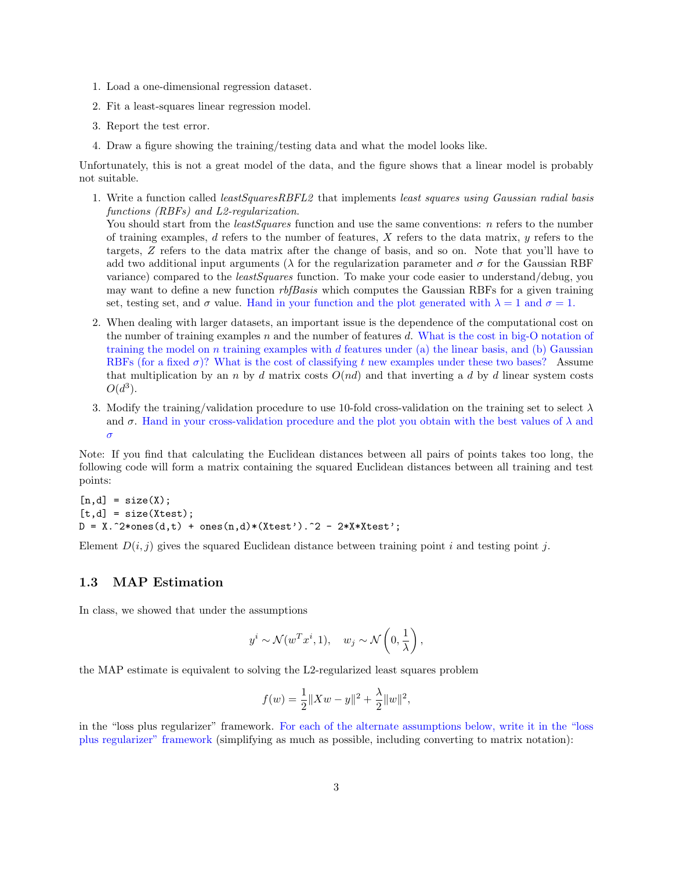- 1. Load a one-dimensional regression dataset.
- 2. Fit a least-squares linear regression model.
- 3. Report the test error.
- 4. Draw a figure showing the training/testing data and what the model looks like.

Unfortunately, this is not a great model of the data, and the figure shows that a linear model is probably not suitable.

1. Write a function called least Squares RBFL2 that implements least squares using Gaussian radial basis functions (RBFs) and L2-regularization.

You should start from the *least Squares* function and use the same conventions: *n* refers to the number of training examples, d refers to the number of features, X refers to the data matrix,  $y$  refers to the targets, Z refers to the data matrix after the change of basis, and so on. Note that you'll have to add two additional input arguments ( $\lambda$  for the regularization parameter and  $\sigma$  for the Gaussian RBF variance) compared to the *leastSquares* function. To make your code easier to understand/debug, you may want to define a new function  $rbBasis$  which computes the Gaussian RBFs for a given training set, testing set, and  $\sigma$  value. Hand in your function and the plot generated with  $\lambda = 1$  and  $\sigma = 1$ .

- 2. When dealing with larger datasets, an important issue is the dependence of the computational cost on the number of training examples n and the number of features d. What is the cost in big-O notation of training the model on  $n$  training examples with  $d$  features under (a) the linear basis, and (b) Gaussian RBFs (for a fixed  $\sigma$ )? What is the cost of classifying t new examples under these two bases? Assume that multiplication by an n by d matrix costs  $O(nd)$  and that inverting a d by d linear system costs  $O(d^3)$ .
- 3. Modify the training/validation procedure to use 10-fold cross-validation on the training set to select  $\lambda$ and  $\sigma$ . Hand in your cross-validation procedure and the plot you obtain with the best values of  $\lambda$  and σ

Note: If you find that calculating the Euclidean distances between all pairs of points takes too long, the following code will form a matrix containing the squared Euclidean distances between all training and test points:

```
[n,d] = size(X);[t,d] = size(Xtest);D = X.^2*ones(d,t) + ones(n,d)*(Xtest').^2 - 2*X*Xtest';
```
Element  $D(i, j)$  gives the squared Euclidean distance between training point i and testing point j.

#### 1.3 MAP Estimation

In class, we showed that under the assumptions

$$
y^{i} \sim \mathcal{N}(w^{T}x^{i}, 1), \quad w_{j} \sim \mathcal{N}\left(0, \frac{1}{\lambda}\right),
$$

the MAP estimate is equivalent to solving the L2-regularized least squares problem

$$
f(w) = \frac{1}{2} ||Xw - y||^{2} + \frac{\lambda}{2} ||w||^{2},
$$

in the "loss plus regularizer" framework. For each of the alternate assumptions below, write it in the "loss plus regularizer" framework (simplifying as much as possible, including converting to matrix notation):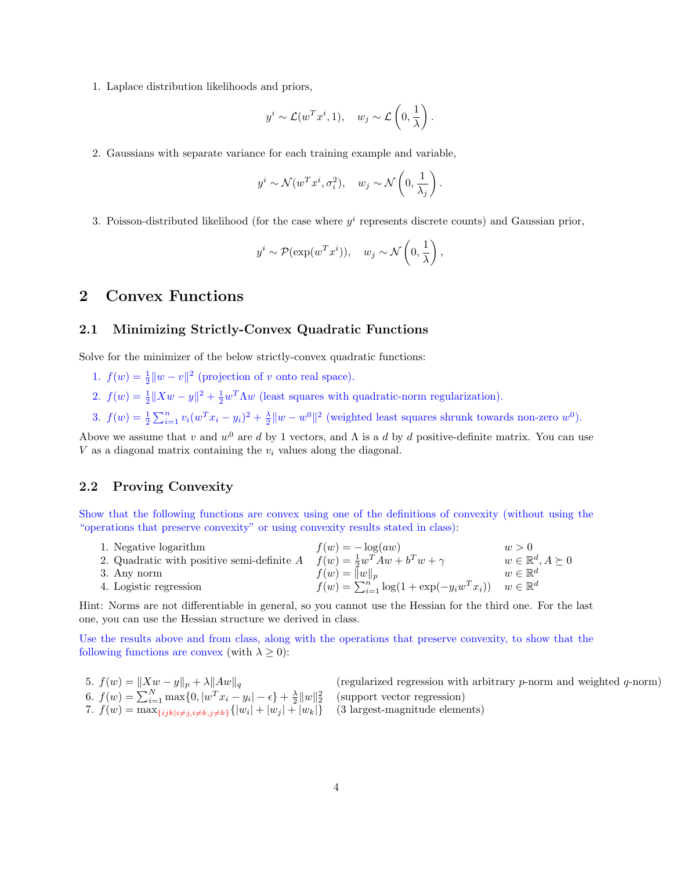1. Laplace distribution likelihoods and priors,

$$
y^{i} \sim \mathcal{L}(w^{T}x^{i}, 1), \quad w_{j} \sim \mathcal{L}\left(0, \frac{1}{\lambda}\right).
$$

2. Gaussians with separate variance for each training example and variable,

$$
y^i \sim \mathcal{N}(w^T x^i, \sigma_i^2), \quad w_j \sim \mathcal{N}\left(0, \frac{1}{\lambda_j}\right).
$$

3. Poisson-distributed likelihood (for the case where  $y^i$  represents discrete counts) and Gaussian prior,

$$
y^i \sim \mathcal{P}(\exp(w^T x^i)), \quad w_j \sim \mathcal{N}\left(0, \frac{1}{\lambda}\right),
$$

## 2 Convex Functions

#### 2.1 Minimizing Strictly-Convex Quadratic Functions

Solve for the minimizer of the below strictly-convex quadratic functions:

- 1.  $f(w) = \frac{1}{2} ||w v||^2$  (projection of v onto real space).
- 2.  $f(w) = \frac{1}{2} \|Xw y\|^2 + \frac{1}{2} w^T \Lambda w$  (least squares with quadratic-norm regularization).
- 3.  $f(w) = \frac{1}{2} \sum_{i=1}^{n} v_i (w^T x_i y_i)^2 + \frac{\lambda}{2} ||w w^0||^2$  (weighted least squares shrunk towards non-zero  $w^0$ ).

Above we assume that v and  $w^0$  are d by 1 vectors, and  $\Lambda$  is a d by d positive-definite matrix. You can use  $V$  as a diagonal matrix containing the  $v_i$  values along the diagonal.

#### 2.2 Proving Convexity

Show that the following functions are convex using one of the definitions of convexity (without using the "operations that preserve convexity" or using convexity results stated in class):

| $f(w) = -\log(aw)$ | w > 0                                                                                                                                                                   |
|--------------------|-------------------------------------------------------------------------------------------------------------------------------------------------------------------------|
|                    | $w \in \mathbb{R}^d, A \succeq 0$                                                                                                                                       |
| $f(w) =   w  _n$   | $w \in \mathbb{R}^d$                                                                                                                                                    |
|                    |                                                                                                                                                                         |
|                    | 2. Quadratic with positive semi-definite $A$ $f(w) = \frac{1}{2}w^{T}Aw + b^{T}w + \gamma$<br>$f(w) = \sum_{i=1}^{n} \log(1 + \exp(-y_i w^T x_i))$ $w \in \mathbb{R}^d$ |

Hint: Norms are not differentiable in general, so you cannot use the Hessian for the third one. For the last one, you can use the Hessian structure we derived in class.

Use the results above and from class, along with the operations that preserve convexity, to show that the following functions are convex (with  $\lambda \geq 0$ ):

\n- 5. 
$$
f(w) = \|Xw - y\|_p + \lambda \|Aw\|_q
$$
 (regularized regression with arbitrary p-norm and weighted q-norm)
\n- 6.  $f(w) = \sum_{i=1}^N \max\{0, |w^T x_i - y_i| - \epsilon\} + \frac{\lambda}{2} \|w\|_2^2$  (support vector regression)
\n- 7.  $f(w) = \max_{\{ijk \mid i \neq j, i \neq k, j \neq k\}} \{|w_i| + |w_j| + |w_k|\}$  (3 largest-magnitude elements)
\n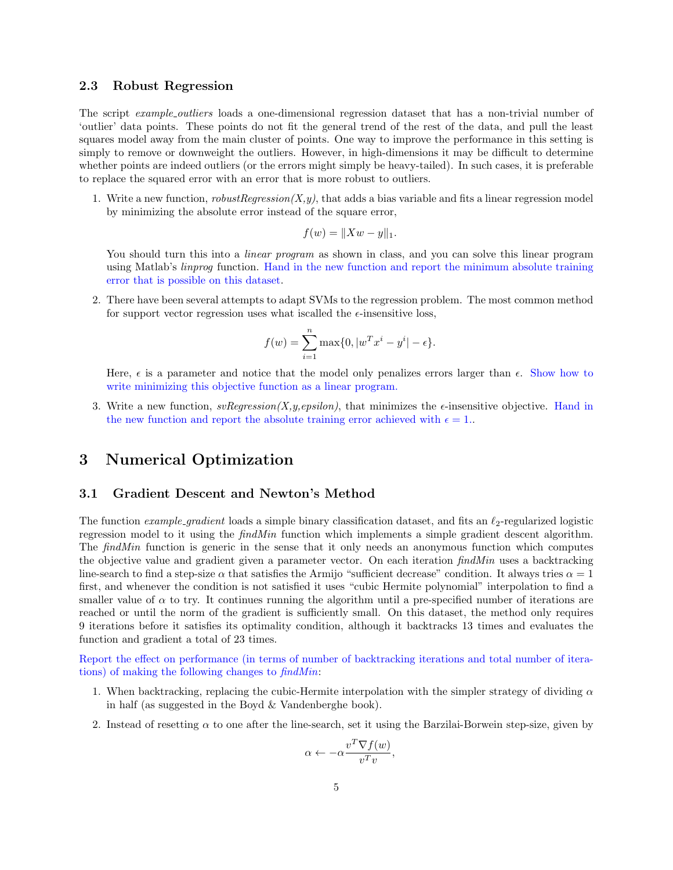#### 2.3 Robust Regression

The script *example outliers* loads a one-dimensional regression dataset that has a non-trivial number of 'outlier' data points. These points do not fit the general trend of the rest of the data, and pull the least squares model away from the main cluster of points. One way to improve the performance in this setting is simply to remove or downweight the outliers. However, in high-dimensions it may be difficult to determine whether points are indeed outliers (or the errors might simply be heavy-tailed). In such cases, it is preferable to replace the squared error with an error that is more robust to outliers.

1. Write a new function,  $robustRegression(X, y)$ , that adds a bias variable and fits a linear regression model by minimizing the absolute error instead of the square error,

$$
f(w) = ||Xw - y||_1.
$$

You should turn this into a *linear program* as shown in class, and you can solve this linear program using Matlab's linprog function. Hand in the new function and report the minimum absolute training error that is possible on this dataset.

2. There have been several attempts to adapt SVMs to the regression problem. The most common method for support vector regression uses what iscalled the  $\epsilon$ -insensitive loss,

$$
f(w) = \sum_{i=1}^{n} \max\{0, |w^T x^i - y^i| - \epsilon\}.
$$

Here,  $\epsilon$  is a parameter and notice that the model only penalizes errors larger than  $\epsilon$ . Show how to write minimizing this objective function as a linear program.

3. Write a new function,  $\textit{svRegression}(X, y, \textit{epsilon})$ , that minimizes the  $\epsilon$ -insensitive objective. Hand in the new function and report the absolute training error achieved with  $\epsilon = 1$ .

### 3 Numerical Optimization

#### 3.1 Gradient Descent and Newton's Method

The function *example\_qradient* loads a simple binary classification dataset, and fits an  $\ell_2$ -regularized logistic regression model to it using the *findMin* function which implements a simple gradient descent algorithm. The *findMin* function is generic in the sense that it only needs an anonymous function which computes the objective value and gradient given a parameter vector. On each iteration  $findMin$  uses a backtracking line-search to find a step-size  $\alpha$  that satisfies the Armijo "sufficient decrease" condition. It always tries  $\alpha = 1$ first, and whenever the condition is not satisfied it uses "cubic Hermite polynomial" interpolation to find a smaller value of  $\alpha$  to try. It continues running the algorithm until a pre-specified number of iterations are reached or until the norm of the gradient is sufficiently small. On this dataset, the method only requires 9 iterations before it satisfies its optimality condition, although it backtracks 13 times and evaluates the function and gradient a total of 23 times.

Report the effect on performance (in terms of number of backtracking iterations and total number of iterations) of making the following changes to findMin:

- 1. When backtracking, replacing the cubic-Hermite interpolation with the simpler strategy of dividing  $\alpha$ in half (as suggested in the Boyd & Vandenberghe book).
- 2. Instead of resetting  $\alpha$  to one after the line-search, set it using the Barzilai-Borwein step-size, given by

$$
\alpha \leftarrow -\alpha \frac{v^T \nabla f(w)}{v^T v},
$$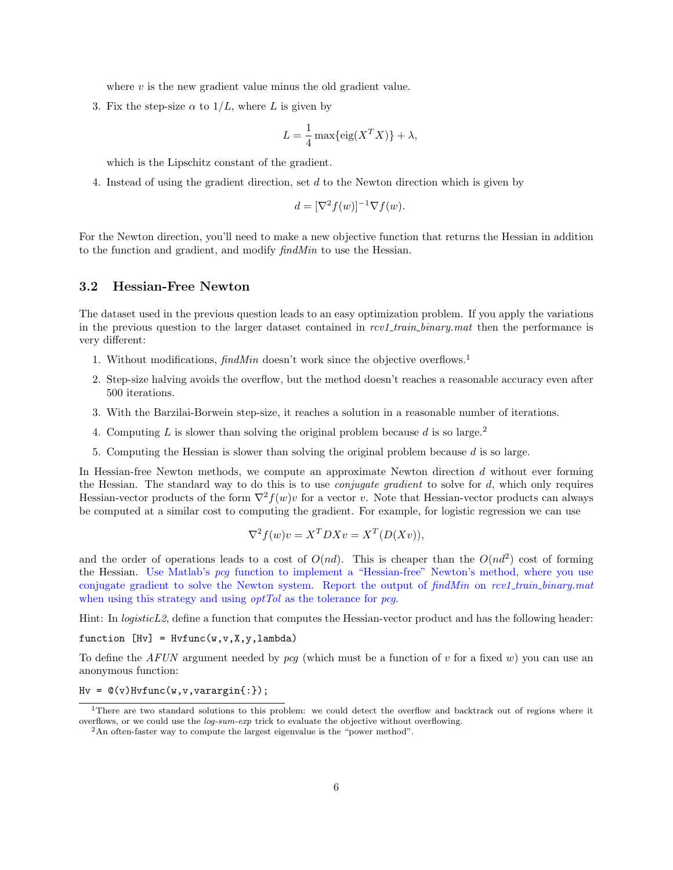where  $v$  is the new gradient value minus the old gradient value.

3. Fix the step-size  $\alpha$  to  $1/L$ , where L is given by

$$
L = \frac{1}{4} \max\{ \text{eig}(X^T X) \} + \lambda,
$$

which is the Lipschitz constant of the gradient.

4. Instead of using the gradient direction, set d to the Newton direction which is given by

$$
d = [\nabla^2 f(w)]^{-1} \nabla f(w).
$$

For the Newton direction, you'll need to make a new objective function that returns the Hessian in addition to the function and gradient, and modify findMin to use the Hessian.

#### 3.2 Hessian-Free Newton

The dataset used in the previous question leads to an easy optimization problem. If you apply the variations in the previous question to the larger dataset contained in  $rcv1_train\_binary.math$  then the performance is very different:

- 1. Without modifications,  $\text{findMin}$  doesn't work since the objective overflows.<sup>1</sup>
- 2. Step-size halving avoids the overflow, but the method doesn't reaches a reasonable accuracy even after 500 iterations.
- 3. With the Barzilai-Borwein step-size, it reaches a solution in a reasonable number of iterations.
- 4. Computing L is slower than solving the original problem because d is so large.<sup>2</sup>
- 5. Computing the Hessian is slower than solving the original problem because d is so large.

In Hessian-free Newton methods, we compute an approximate Newton direction d without ever forming the Hessian. The standard way to do this is to use *conjugate gradient* to solve for d, which only requires Hessian-vector products of the form  $\nabla^2 f(w)v$  for a vector v. Note that Hessian-vector products can always be computed at a similar cost to computing the gradient. For example, for logistic regression we can use

$$
\nabla^2 f(w)v = X^T D X v = X^T (D(Xv)),
$$

and the order of operations leads to a cost of  $O(nd)$ . This is cheaper than the  $O(nd^2)$  cost of forming the Hessian. Use Matlab's pcg function to implement a "Hessian-free" Newton's method, where you use conjugate gradient to solve the Newton system. Report the output of findMin on rcv1\_train\_binary.mat when using this strategy and using *optTol* as the tolerance for *pcg*.

Hint: In *logisticL2*, define a function that computes the Hessian-vector product and has the following header:

function  $[Hv] = Hvfunc(w, v, X, y, lambda)$ 

To define the AFUN argument needed by  $pcg$  (which must be a function of v for a fixed w) you can use an anonymous function:

 $Hv = \mathbb{Q}(v) Hvfunc(w, v, varargin\{:\})$ ;

<sup>&</sup>lt;sup>1</sup>There are two standard solutions to this problem: we could detect the overflow and backtrack out of regions where it overflows, or we could use the log-sum-exp trick to evaluate the objective without overflowing.

<sup>2</sup>An often-faster way to compute the largest eigenvalue is the "power method".